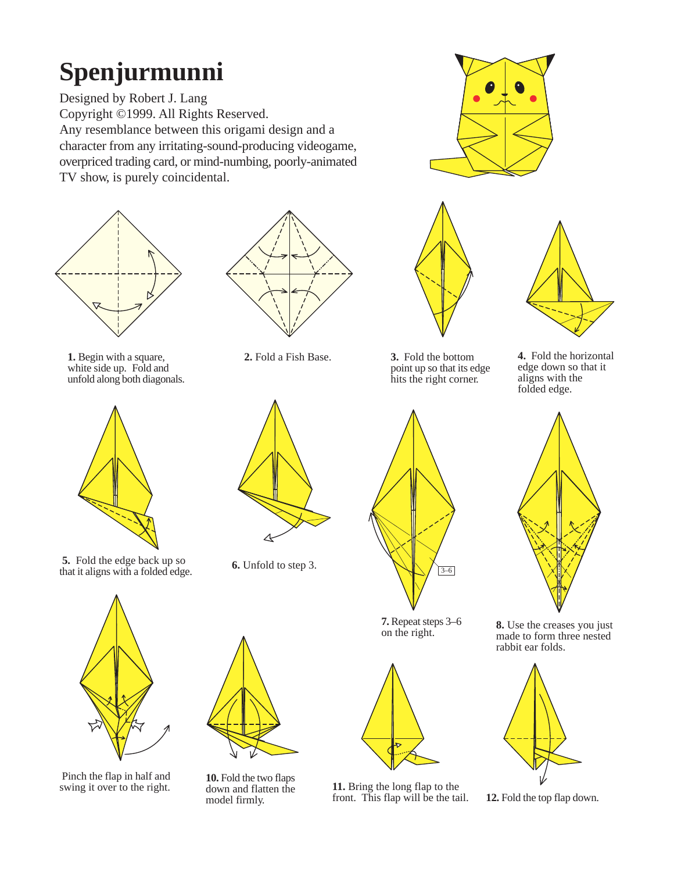## **Spenjurmunni**

Designed by Robert J. Lang Copyright ©1999. All Rights Reserved. Any resemblance between this origami design and a character from any irritating-sound-producing videogame, overpriced trading card, or mind-numbing, poorly-animated TV show, is purely coincidental.





**1.** Begin with a square, white side up. Fold and unfold along both diagonals.



**5.** Fold the edge back up so 5. Fold the edge back up so **6.** Unfold to step 3. that it aligns with a folded edge.



 Pinch the flap in half and swing it over to the right.



**2.** Fold a Fish Base. **3.** Fold the bottom





point up so that its edge hits the right corner.



**4.** Fold the horizontal edge down so that it aligns with the folded edge.



**8.** Use the creases you just made to form three nested rabbit ear folds.







**10.** Fold the two flaps down and flatten the model firmly.

**7.** Repeat steps 3–6 on the right.



**11.** Bring the long flap to the front. This flap will be the tail. **12.** Fold the top flap down.